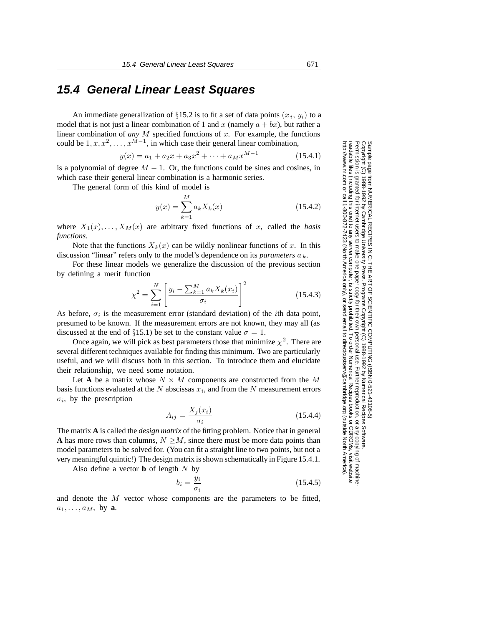# **15.4 General Linear Least Squares**

An immediate generalization of §15.2 is to fit a set of data points  $(x_i, y_i)$  to a model that is not just a linear combination of 1 and x (namely  $a + bx$ ), but rather a linear combination of *any* M specified functions of x. For example, the functions could be  $1, x, x^2, \ldots, x^{M-1}$ , in which case their general linear combination,

$$
y(x) = a_1 + a_2x + a_3x^2 + \dots + a_Mx^{M-1}
$$
 (15.4.1)

is a polynomial of degree  $M - 1$ . Or, the functions could be sines and cosines, in which case their general linear combination is a harmonic series which case their general linear combination is a harmonic series.

The general form of this kind of model is

$$
y(x) = \sum_{k=1}^{M} a_k X_k(x)
$$
 (15.4.2)

where  $X_1(x),...,X_M(x)$  are arbitrary fixed functions of x, called the *basis functions*.

Note that the functions  $X_k(x)$  can be wildly nonlinear functions of x. In this discussion "linear" refers only to the model's dependence on its *parameters* a *<sup>k</sup>*.

For these linear models we generalize the discussion of the previous section by defining a merit function

$$
\chi^2 = \sum_{i=1}^{N} \left[ \frac{y_i - \sum_{k=1}^{M} a_k X_k(x_i)}{\sigma_i} \right]^2
$$
 (15.4.3)

As before,  $\sigma_i$  is the measurement error (standard deviation) of the *i*th data point, presumed to be known. If the measurement errors are not known, they may all (as discussed at the end of §15.1) be set to the constant value  $\sigma = 1$ .

Once again, we will pick as best parameters those that minimize  $\chi^2$ . There are several different techniques available for finding this minimum. Two are particularly useful, and we will discuss both in this section. To introduce them and elucidate their relationship, we need some notation.

Let **A** be a matrix whose  $N \times M$  components are constructed from the M basis functions evaluated at the  $N$  abscissas  $x_i$ , and from the  $N$  measurement errors  $\sigma_i$ , by the prescription

$$
A_{ij} = \frac{X_j(x_i)}{\sigma_i} \tag{15.4.4}
$$

The matrix **A** is called the *design matrix* of the fitting problem. Notice that in general **A** has more rows than columns,  $N > M$ , since there must be more data points than model parameters to be solved for. (You can fit a straight line to two points, but not a very meaningful quintic!) The design matrix is shown schematically in Figure 15.4.1.

Also define a vector **b** of length  $N$  by

$$
b_i = \frac{y_i}{\sigma_i} \tag{15.4.5}
$$

and denote the M vector whose components are the parameters to be fitted,  $a_1, \ldots, a_M$ , by **a**.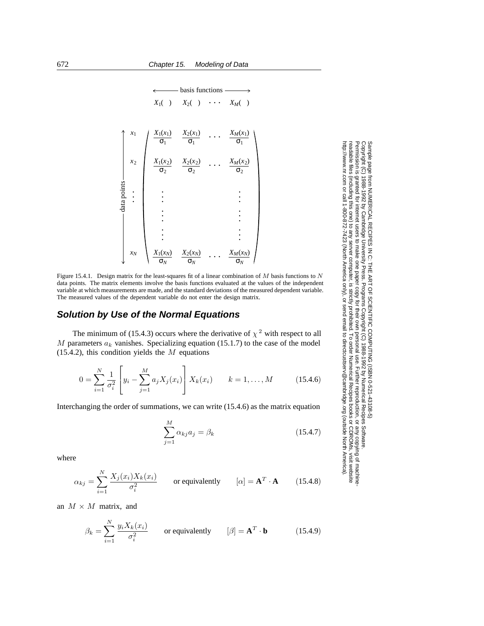basis functions -

*X*1(*x*1) σ1 *x*<sup>1</sup> *X*2(*x*1) σ1 . . . *XM*(*x*1) σ1 *<sup>X</sup>*1( ) *<sup>X</sup>*2( ) . . . *XM*( ) *X*1(*x*2) σ2 *x*<sup>2</sup> *X*2(*x*2) σ2 . . . *XM*(*x*2) σ2 . . . . . . . . . . . . . . . . . . . . . *X*1(*xN*) σ*N xN X*2(*xN*) σ*N* . . . *XM*(*xN*) σ*N* data points

Figure 15.4.1. Design matrix for the least-squares fit of a linear combination of M basis functions to N data points. The matrix elements involve the basis functions evaluated at the values of the independent variable at which measurements are made, and the standard deviations of the measured dependent variable. The measured values of the dependent variable do not enter the design matrix.

### **Solution by Use of the Normal Equations**

The minimum of (15.4.3) occurs where the derivative of  $\chi^2$  with respect to all  $M$  parameters  $a_k$  vanishes. Specializing equation (15.1.7) to the case of the model  $(15.4.2)$ , this condition yields the M equations

$$
0 = \sum_{i=1}^{N} \frac{1}{\sigma_i^2} \left[ y_i - \sum_{j=1}^{M} a_j X_j(x_i) \right] X_k(x_i) \qquad k = 1, ..., M \qquad (15.4.6)
$$

Interchanging the order of summations, we can write (15.4.6) as the matrix equation

$$
\sum_{j=1}^{M} \alpha_{kj} a_j = \beta_k \tag{15.4.7}
$$

Permission is granted for internet users to make one paper copy for their own personal use. Further reproduction, or any copyin

computer, is strictly prohibited. To order Numerical Recipes books

or send email to directcustserv@cambridge.org (outside North America).

Sample page from NUMERICAL RECIPES IN C: THE ART OF SCIENTIFIC COMPUTING (ISBN 0-521-43108-5)

Programs Copyright (C) 1988-1992 by Numerical Recipes Software.

g of machine-

or CDROMs, visit website

Copyright (C) 1988-1992 by Cambridge University Press.

readable files (including this one) to any server

http://www.nr.com or call 1-800-872-7423 (North America only),

where

$$
\alpha_{kj} = \sum_{i=1}^{N} \frac{X_j(x_i) X_k(x_i)}{\sigma_i^2}
$$
 or equivalently  $[\alpha] = \mathbf{A}^T \cdot \mathbf{A}$  (15.4.8)

an  $M \times M$  matrix, and

$$
\beta_k = \sum_{i=1}^{N} \frac{y_i X_k(x_i)}{\sigma_i^2}
$$
 or equivalently  $[\beta] = \mathbf{A}^T \cdot \mathbf{b}$  (15.4.9)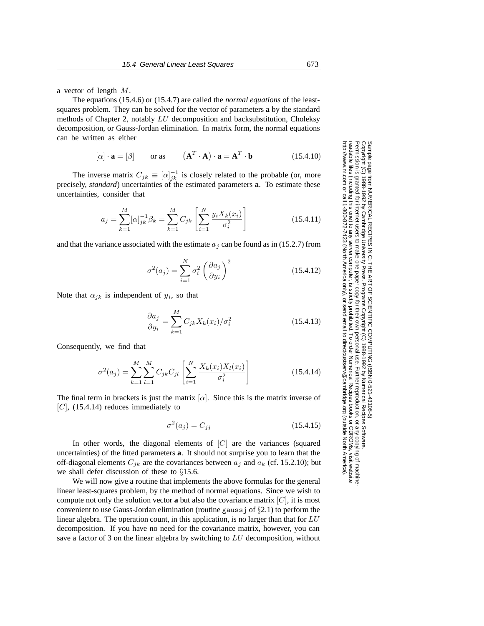a vector of length M.

The equations (15.4.6) or (15.4.7) are called the *normal equations* of the leastsquares problem. They can be solved for the vector of parameters **a** by the standard methods of Chapter 2, notably LU decomposition and backsubstitution, Choleksy decomposition, or Gauss-Jordan elimination. In matrix form, the normal equations can be written as either

$$
[\alpha] \cdot \mathbf{a} = [\beta] \qquad \text{or as} \qquad (\mathbf{A}^T \cdot \mathbf{A}) \cdot \mathbf{a} = \mathbf{A}^T \cdot \mathbf{b} \tag{15.4.10}
$$

The inverse matrix  $C_{jk} \equiv [\alpha]_{jk}^{-1}$  is closely related to the probable (or, more selv *standard*) uncertainties of the estimated parameters **a**. To estimate these precisely, *standard*) uncertainties of the estimated parameters **a**. To estimate these uncertainties, consider that

$$
a_j = \sum_{k=1}^{M} [\alpha]_{jk}^{-1} \beta_k = \sum_{k=1}^{M} C_{jk} \left[ \sum_{i=1}^{N} \frac{y_i X_k(x_i)}{\sigma_i^2} \right]
$$
 (15.4.11)

and that the variance associated with the estimate  $a_j$  can be found as in (15.2.7) from

$$
\sigma^2(a_j) = \sum_{i=1}^N \sigma_i^2 \left(\frac{\partial a_j}{\partial y_i}\right)^2 \tag{15.4.12}
$$

Note that  $\alpha_{jk}$  is independent of  $y_i$ , so that

$$
\frac{\partial a_j}{\partial y_i} = \sum_{k=1}^{M} C_{jk} X_k(x_i) / \sigma_i^2
$$
 (15.4.13)

Consequently, we find that

$$
\sigma^{2}(a_{j}) = \sum_{k=1}^{M} \sum_{l=1}^{M} C_{jk} C_{jl} \left[ \sum_{i=1}^{N} \frac{X_{k}(x_{i}) X_{l}(x_{i})}{\sigma_{i}^{2}} \right]
$$
(15.4.14)

The final term in brackets is just the matrix  $[\alpha]$ . Since this is the matrix inverse of  $[C]$ , (15.4.14) reduces immediately to

$$
\sigma^2(a_j) = C_{jj} \tag{15.4.15}
$$

In other words, the diagonal elements of  $[C]$  are the variances (squared uncertainties) of the fitted parameters **a**. It should not surprise you to learn that the off-diagonal elements  $C_{jk}$  are the covariances between  $a_j$  and  $a_k$  (cf. 15.2.10); but we shall defer discussion of these to §15.6.

We will now give a routine that implements the above formulas for the general linear least-squares problem, by the method of normal equations. Since we wish to compute not only the solution vector **a** but also the covariance matrix  $[C]$ , it is most convenient to use Gauss-Jordan elimination (routine gauss  $\gamma$  of  $\S$ 2.1) to perform the linear algebra. The operation count, in this application, is no larger than that for  $LU$ decomposition. If you have no need for the covariance matrix, however, you can save a factor of 3 on the linear algebra by switching to LU decomposition, without

Permission is granted for internet users to make one paper copy for their own personal use. Further reproduction, or any copyin Copyright (C) 1988-1992 by Cambridge University Press.Sample page from NUMERICAL RECIPES IN C: THE ART OF SCIENTIFIC COMPUTING (ISBN 0-521-43108-5)<br>Copyright (C) 1988-1992 by Cambridge University Press. Programs Copyright (C) 1988-1992 by Numerical Recipes Software<br>Permissio Programs Copyright (C) 1988-1992 by Numerical Recipes Software. Sample page from NUMERICAL RECIPES IN C: THE ART OF SCIENTIFIC COMPUTING (ISBN 0-521-43108-5) g of machinereadable files (including this one) to any servercomputer, is strictly prohibited. To order Numerical Recipes booksor CDROMs, visit website http://www.nr.com or call 1-800-872-7423 (North America only),or send email to directcustserv@cambridge.org (outside North America).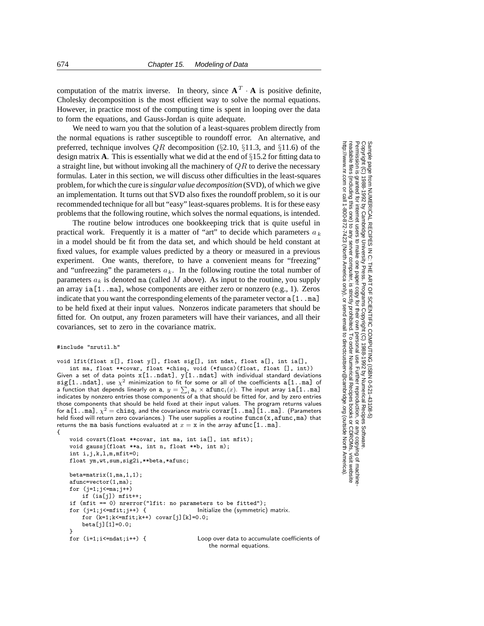computation of the matrix inverse. In theory, since  $A^T \cdot A$  is positive definite, Cholesky decomposition is the most efficient way to solve the normal equations. However, in practice most of the computing time is spent in looping over the data to form the equations, and Gauss-Jordan is quite adequate.

We need to warn you that the solution of a least-squares problem directly from the normal equations is rather susceptible to roundoff error. An alternative, and preferred, technique involves  $QR$  decomposition (§2.10, §11.3, and §11.6) of the design matrix **A**. This is essentially what we did at the end of §15.2 for fitting data to a straight line, but without invoking all the machinery of  $QR$  to derive the necessary formulas. Later in this section, we will discuss other difficulties in the least-squares problem, for which the cure is*singular value decomposition* (SVD), of which we give an implementation. It turns out that SVD also fixes the roundoff problem, so it is our recommended technique for all but "easy" least-squares problems. It is for these easy problems that the following routine, which solves the normal equations, is intended.

The routine below introduces one bookkeeping trick that is quite useful in practical work. Frequently it is a matter of "art" to decide which parameters  $a_k$ in a model should be fit from the data set, and which should be held constant at fixed values, for example values predicted by a theory or measured in a previous experiment. One wants, therefore, to have a convenient means for "freezing" and "unfreezing" the parameters  $a_k$ . In the following routine the total number of parameters  $a_k$  is denoted ma (called M above). As input to the routine, you supply an array  $i\in[1...m]$ , whose components are either zero or nonzero (e.g., 1). Zeros indicate that you want the corresponding elements of the parameter vector  $a[1 \tcdot \tcdot a]$ to be held fixed at their input values. Nonzeros indicate parameters that should be fitted for. On output, any frozen parameters will have their variances, and all their covariances, set to zero in the covariance matrix.

```
#include "nrutil.h"
```

```
void lfit(float x[], float y[], float sig[], int ndat, float a[], int ia[],
    int ma, float **covar, float *chisq, void (*funcs)(float, float [], int))
Given a set of data points x[1..ndat], y[1..ndat] with individual standard deviations
sig[1..ndat], use \chi^2 minimization to fit for some or all of the coefficients a[1..ma] of
a function that depends linearly on a, y = \sum_i \mathbf{a}_i \times \mathbf{afunc}_i(x). The input array \mathtt{ia[1..ma]}indicates by nonzero entries those components of a that should be fitted for, and by zero entries
those components that should be held fixed at their input values. The program returns values
for a[1..ma], \chi^2 = chisq, and the covariance matrix covar [1..ma][1..ma]. (Parameters
held fixed will return zero covariances.) The user supplies a routine func(x,afunc,ma) that
returns the ma basis functions evaluated at x = x in the array afunc [1..ma].
{
```

```
void covsrt(float **covar, int ma, int ia[], int mfit);
void gaussj(float **a, int n, float **b, int m);
int i,j,k,l,m,mfit=0;
float ym,wt,sum,sig2i,**beta,*afunc;
beta=matrix(1,ma,1,1);
afunc=vector(1,ma);
for (j=1; j<=max; j++)if (ia[j]) mfit++;
if (mfit == 0) nrerror("lfit: no parameters to be fitted");
                                       Initialize the (symmetric) matrix.
    for (k=1; k<=mfit; k++) covar[j][k]=0.0;
    beta[j][1]=0.0;
}
for (i=1;i<=ndat;i++) { Loop over data to accumulate coefficients of
```
the normal equations.

Sample page fr<br>Copyright (C) 1<br>Permission is g<br>readable files (i Copyright (C) 1988-1992 by Cambridge University Press.Sample page from NUMERICAL RECIPES IN C: THE ART OF SCIENTIFIC COMPUTING (ISBN 0-521-43108-5) http://www.nr.com or call 1-800-872-7423 (North America only),readable files (including this one) to any serverPermission is granted for internet users to make one paper copy for their own personal use. Further reproduction, or any copyin computer, is strictly prohibited. To order Numerical Recipes booksPrograms Copyright (C) 1988-1992 by Numerical Recipes Software. or send email to directcustserv@cambridge.org (outside North America). or CDROMs, visit website g of machine-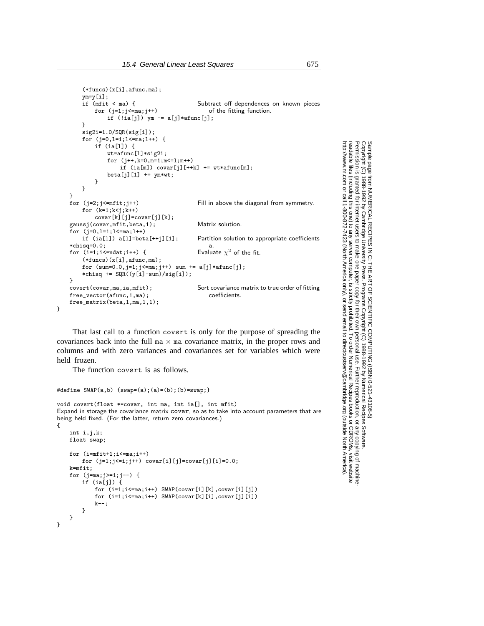```
(*funcs)(x[i],afunc,ma);ym=y[i];<br>if (mfit < ma) {
        (mfit < ma) {<br>
for (i=1; i<=ma; i++)<br>
for (i=1; i<=ma; i++)<br>
for (i=1; i<=ma; i++)of the fitting function.
             if (!ia[j]) ym -= a[j]*afunc[j];}
    sig2i=1.0/SQR(sig[i]);
    for (j=0,l=1;l<=ma;l++) {
         if (ia[l]) {
             wt=afunc[l]*sig2i;
             for (j++,k=0,m=1;m<=l;m++)
                 if (ia[m]) covar[j][++k] += wt*afunc[m];beta[j][1] += ym*wt;}
    }
}<br>for (j=2;j<=mfit;j++)
                                            Fill in above the diagonal from symmetry.
    for (k=1; k< j; k++)covar[k][j] = covar[j][k];gaussj(covar,mfit,beta,1); Matrix solution.
for (j=0,1=1;1<=ma;1++)<br>if (ia[1]) a[1]=beta[++j][1];Partition solution to appropriate coefficients
*chisq=0.0;<br>
for (i=1;i<=ndat;i++) { \qquad Evaluate \chi^2 of the fit.
for (i=1;i<=ndat;i++) {
    (*funcs)(x[i],afunc,ma);for (sum=0.0, j=1; j<=ma; j++) sum += a[j]*afunc[j];*chisq += SQR((y[i]-sum)/sig[i]);
}<br>covsrt(covar,ma,ia,mfit);
                                            Sort covariance matrix to true order of fitting<br>coefficients
free vector(afunc.1,ma):
free_matrix(beta,1,ma,1,1);
```
That last call to a function covsrt is only for the purpose of spreading the covariances back into the full  $m \times m$  covariance matrix, in the proper rows and columns and with zero variances and covariances set for variables which were held frozen.

The function covsrt is as follows.

}

#define SWAP(a,b) {swap=(a);(a)=(b);(b)=swap;}

void covsrt(float \*\*covar, int ma, int ia[], int mfit) Expand in storage the covariance matrix covar, so as to take into account parameters that are being held fixed. (For the latter, return zero covariances.) {

```
int i.i.k;
    float swap;
    for (i=mfit+1;i<=ma;i++)
       for (j=1; j<=i; j++) covar[i][j]=covar[j][i]=0.0;
    k=mfit;
   for (j=ma;j>=1;j--) {
       if (ia[j]) {
           for (i=1;i<=ma;i++) SWAP(covar[i][k],covar[i][j])
            for (i=1;i<=ma;i++) SWAP(covar[k][i],covar[j][i])
           k--:
       }
   }
}
```
Copyright (C) 1988-1992 by Cambridge University Press.Sample page from NUMERICAL RECIPES IN C: THE ART OF SCIENTIFIC COMPUTING (ISBN 0-521-43108-5) http://www.nr.com or call 1-800-872-7423 (North America only),readable files (including this one) to any serverPermission is granted for internet users to make one paper copy for their own personal use. Further reproduction, or any copyin computer, is strictly prohibited. To order Numerical Recipes booksPrograms Copyright (C) 1988-1992 by Numerical Recipes Software. SCIENTIFIC COMPUTING or send email to directcustserv@cambridge.org (outside North America). email to directcustserv@cambridge.org (outside North America). COMPUTING (ISBN 0-521-43108-5)<br>tt (C) 1988-1992 by Numerical Recipes Software.<br>personal use. Further reproduction, or any copying of machine-<br>I. To order Numerical Recipes books or CDROMs, visit website<br>I. To order Numeric or CDROMs, visit website g of machine-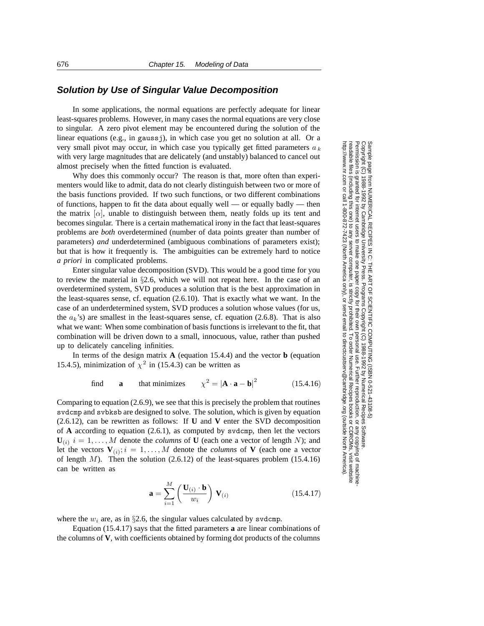#### **Solution by Use of Singular Value Decomposition**

In some applications, the normal equations are perfectly adequate for linear least-squares problems. However, in many cases the normal equations are very close to singular. A zero pivot element may be encountered during the solution of the linear equations (e.g., in gaussj), in which case you get no solution at all. Or a very small pivot may occur, in which case you typically get fitted parameters a *<sup>k</sup>* with very large magnitudes that are delicately (and unstably) balanced to cancel out almost precisely when the fitted function is evaluated.

Why does this commonly occur? The reason is that, more often than experimenters would like to admit, data do not clearly distinguish between two or more of the basis functions provided. If two such functions, or two different combinations of functions, happen to fit the data about equally well — or equally badly — then the matrix  $[\alpha]$ , unable to distinguish between them, neatly folds up its tent and becomes singular. There is a certain mathematical irony in the fact that least-squares problems are *both* overdetermined (number of data points greater than number of parameters) *and* underdetermined (ambiguous combinations of parameters exist); but that is how it frequently is. The ambiguities can be extremely hard to notice *a priori* in complicated problems.

Enter singular value decomposition (SVD). This would be a good time for you to review the material in  $\S2.6$ , which we will not repeat here. In the case of an overdetermined system, SVD produces a solution that is the best approximation in the least-squares sense, cf. equation (2.6.10). That is exactly what we want. In the case of an underdetermined system, SVD produces a solution whose values (for us, the  $a_k$ 's) are smallest in the least-squares sense, cf. equation (2.6.8). That is also what we want: When some combination of basis functions is irrelevant to the fit, that combination will be driven down to a small, innocuous, value, rather than pushed up to delicately canceling infinities.

In terms of the design matrix  $A$  (equation 15.4.4) and the vector **b** (equation 15.4.5), minimization of  $\chi^2$  in (15.4.3) can be written as

find **a** that minimizes 
$$
\chi^2 = |\mathbf{A} \cdot \mathbf{a} - \mathbf{b}|^2
$$
 (15.4.16)

Comparing to equation (2.6.9), we see that this is precisely the problem that routines svdcmp and svbksb are designed to solve. The solution, which is given by equation (2.6.12), can be rewritten as follows: If **U** and **V** enter the SVD decomposition of **A** according to equation (2.6.1), as computed by svdcmp, then let the vectors  $U_{(i)}$   $i = 1, \ldots, M$  denote the *columns* of **U** (each one a vector of length N); and let the vectors  $V_{(i)}$ ;  $i = 1, ..., M$  denote the *columns* of V (each one a vector of length  $M$ ). Then the solution (2.6.12) of the least-squares problem (15.4.16) can be written as

$$
\mathbf{a} = \sum_{i=1}^{M} \left( \frac{\mathbf{U}_{(i)} \cdot \mathbf{b}}{w_i} \right) \mathbf{V}_{(i)}
$$
(15.4.17)

where the  $w_i$  are, as in §2.6, the singular values calculated by svdcmp.

Equation (15.4.17) says that the fitted parameters **a** are linear combinations of the columns of **V**, with coefficients obtained by forming dot products of the columns

Permission is granted for internet users to make one paper copy for their own personal use. Further reproduction, or any copyin Copyright (C) 1988-1992 by Cambridge University Press.Programs Copyright (C) 1988-1992 by Numerical Recipes Software. g of machinereadable files (including this one) to any servercomputer, is strictly prohibited. To order Numerical Recipes booksor CDROMs, visit website http://www.nr.com or call 1-800-872-7423 (North America only),or send email to directcustserv@cambridge.org (outside North America).

Sample page from NUMERICAL RECIPES IN C: THE ART OF SCIENTIFIC COMPUTING (ISBN 0-521-43108-5)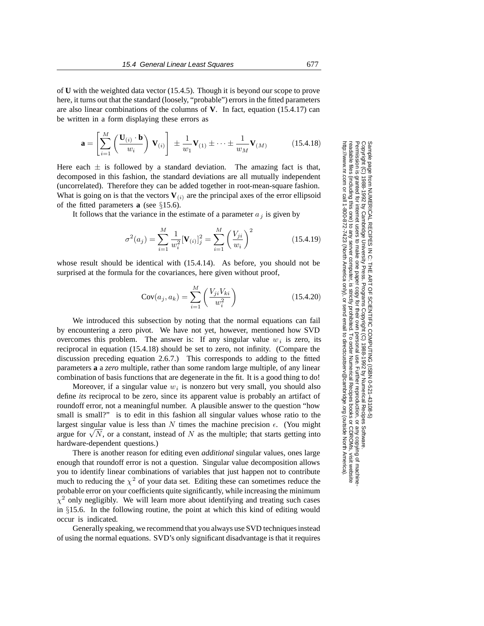of **U** with the weighted data vector (15.4.5). Though it is beyond our scope to prove here, it turns out that the standard (loosely, "probable") errors in the fitted parameters are also linear combinations of the columns of **V**. In fact, equation (15.4.17) can be written in a form displaying these errors as

$$
\mathbf{a} = \left[\sum_{i=1}^{M} \left(\frac{\mathbf{U}_{(i)} \cdot \mathbf{b}}{w_i}\right) \mathbf{V}_{(i)}\right] \pm \frac{1}{w_1} \mathbf{V}_{(1)} \pm \cdots \pm \frac{1}{w_M} \mathbf{V}_{(M)} \tag{15.4.18}
$$

Here each  $\pm$  is followed by a standard deviation. The amazing fact is that, decomposed in this fashion, the standard deviations are all mutually independent (uncorrelated). Therefore they can be added together in root-mean-square fashion. What is going on is that the vectors  $V(i)$  are the principal axes of the error ellipsoid of the fitted parameters **a** (see §15.6).

It follows that the variance in the estimate of a parameter  $a_j$  is given by

$$
\sigma^{2}(a_{j}) = \sum_{i=1}^{M} \frac{1}{w_{i}^{2}} [\mathbf{V}_{(i)}]_{j}^{2} = \sum_{i=1}^{M} \left(\frac{V_{ji}}{w_{i}}\right)^{2}
$$
(15.4.19)

whose result should be identical with (15.4.14). As before, you should not be surprised at the formula for the covariances, here given without proof,

$$
Cov(a_j, a_k) = \sum_{i=1}^{M} \left( \frac{V_{ji} V_{ki}}{w_i^2} \right)
$$
 (15.4.20)

We introduced this subsection by noting that the normal equations can fail by encountering a zero pivot. We have not yet, however, mentioned how SVD overcomes this problem. The answer is: If any singular value  $w_i$  is zero, its reciprocal in equation (15.4.18) should be set to zero, not infinity. (Compare the discussion preceding equation 2.6.7.) This corresponds to adding to the fitted parameters **a** a *zero* multiple, rather than some random large multiple, of any linear combination of basis functions that are degenerate in the fit. It is a good thing to do!

Moreover, if a singular value  $w_i$  is nonzero but very small, you should also define *its* reciprocal to be zero, since its apparent value is probably an artifact of roundoff error, not a meaningful number. A plausible answer to the question "how small is small?" is to edit in this fashion all singular values whose ratio to the largest singular value is less than N times the machine precision  $\epsilon$ . (You might argue for  $\sqrt{N}$ , or a constant, instead of N as the multiple; that starts getting into hardware-dependent questions.)

There is another reason for editing even *additional* singular values, ones large enough that roundoff error is not a question. Singular value decomposition allows you to identify linear combinations of variables that just happen not to contribute much to reducing the  $\chi^2$  of your data set. Editing these can sometimes reduce the probable error on your coefficients quite significantly, while increasing the minimum  $\chi^2$  only negligibly. We will learn more about identifying and treating such cases in §15.6. In the following routine, the point at which this kind of editing would occur is indicated.

Generally speaking, we recommend that you always use SVD techniques instead of using the normal equations. SVD's only significant disadvantage is that it requires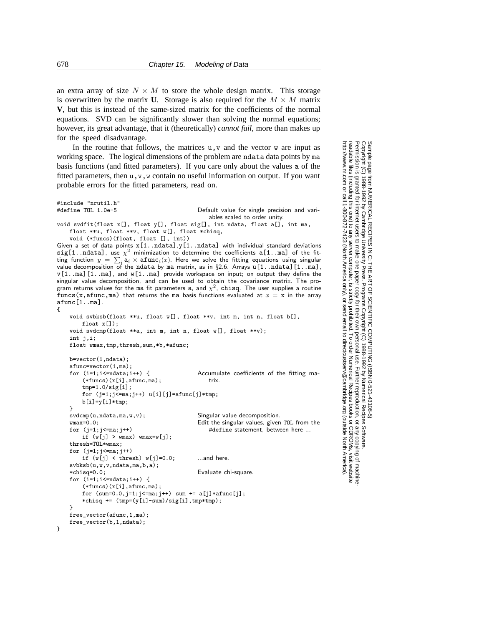an extra array of size  $N \times M$  to store the whole design matrix. This storage is overwritten by the matrix **U**. Storage is also required for the  $M \times M$  matrix **V**, but this is instead of the same-sized matrix for the coefficients of the normal equations. SVD can be significantly slower than solving the normal equations; however, its great advantage, that it (theoretically) *cannot fail*, more than makes up for the speed disadvantage.

In the routine that follows, the matrices  $u, v$  and the vector w are input as working space. The logical dimensions of the problem are ndata data points by ma basis functions (and fitted parameters). If you care only about the values a of the fitted parameters, then  $u, v, w$  contain no useful information on output. If you want probable errors for the fitted parameters, read on.

```
#define TOL 1.0e-5 Default value for single precision and vari-
                                                 ables scaled to order unity.
void svdfit(float x[], float y[], float sig[], int ndata, float a[], int ma,
    float **u, float **v, float w[], float *chisq,
    void (*funcs)(float, float [], int))
Given a set of data points x[1..ndata], y[1..ndata] with individual standard deviations
sig[1..ndata], use \chi^2 minimization to determine the coefficients a[1..ma] of the fit-
ting function y = \sum_i a_i \times \text{afunc}_i(x). Here we solve the fitting equations using singular
value decomposition of the ndata by ma matrix, as in §2.6. Arrays u[1..ndata][1..ma],
v[1..ma][1..ma], and w[1..ma] provide workspace on input; on output they define the
singular value decomposition, and can be used to obtain the covariance matrix. The pro-
gram returns values for the ma fit parameters a, and \chi^2, chisq. The user supplies a routine
funcs(x,afunc,ma) that returns the ma basis functions evaluated at x = x in the array
afunc[1..ma].
{
    void svbksb(float **u, float w[], float **v, int m, int n, float b[],
        float x[]);
    void svdcmp(float **a, int m, int n, float w[], float **v);
    int j,i;
   float wmax,tmp,thresh,sum,*b,*afunc;
    b=vector(1,ndata);
    afunc=vector(1,ma);<br>for (i=1; i<=ndata; i++) {
                                              Accumulate coefficients of the fitting ma-
        (*funcs)(x[i].afunc,ma); trix.
        tmp=1.0/sig[i];
        for (j=1; j<=ma; j++) u[i][j]=afunc[j]*tmp;
        b[i]=y[i]*tmp;}
    svdcmp(u,ndata,ma,w,v); Singular value decomposition.
    wmax=0.0; Edit the singular values, given TOL from the for (j=1;j<=ma;j++) Edit the singular values, given TOL from the for (j=1;j<=ma;j++)
    for (j=1;j<=ma;j++) #define statement, between here ...
        if (w[j] > wmax) wmax=w[j];
    thresh=TOL*wmax;
    for (i=1; i \le m a; i++)if (w[j] < thresh) w[j]=0.0; ...and here.
    svbksb(u,w,v,ndata,ma,b,a);<br>*chisq=0.0:
                                              Evaluate chi-square.
    for (i=1; i \leq -ndata; i++) {
        (*funcs)(x[i],afunc,ma);for (sum=0.0,j=1;j<=ma;j++) sum += a[j]*afunc[j];*chisq += (tmp=(y[i]-sum)/sig[i],tmp*tmp);
    }
    free_vector(afunc,1,ma);
    free_vector(b,1,ndata);
```
Permission is granted for internet users to make one paper copy for their own personal use. Further reproduction, or any copyin

computer, is strictly prohibited. To order Numerical Recipes books

oyright (C) 1988-1992 by Numerical Recipes Software.<br>r own personal use. Further reproduction, or any copying of machine<br>ibited. To order Numerical Recipes books or CDROMs, visit website<br>email to directcustserv@cambridge

or send email to directcustserv@cambridge.org (outside North America).

Programs Copyright (C) 1988-1992 by Numerical Recipes Software.

PUTING (ISBN 0-521-43'<br>1988-1992 by Numerical

 $(9 - 8)$ 

g of machine-

or CDROMs, visit website

Copyright (C) 1988-1992 by Cambridge University Press.

readable files (including this one) to any server

Sample page from I<br>Copyright (C) 1988<br>Permission is grant<br>readable files (inclu<br>http://www.nr.com c

http://www.nr.com or call 1-800-872-7423 (North America only),

from NUMERICAL RECIPES IN C: THE ART OF SCIENTIFIC C<br>1988-1992 by Cambridge University Press. Programs Copyright<br>granted for internet users to make one paper copy for their own <sub>1</sub>

Sample page from NUMERICAL RECIPES IN C: THE ART OF SCIENTIFIC COMPUTING (ISBN 0-521-43108-5)

SCIENTIFIC COMPUTING

}

#include "nrutil.h"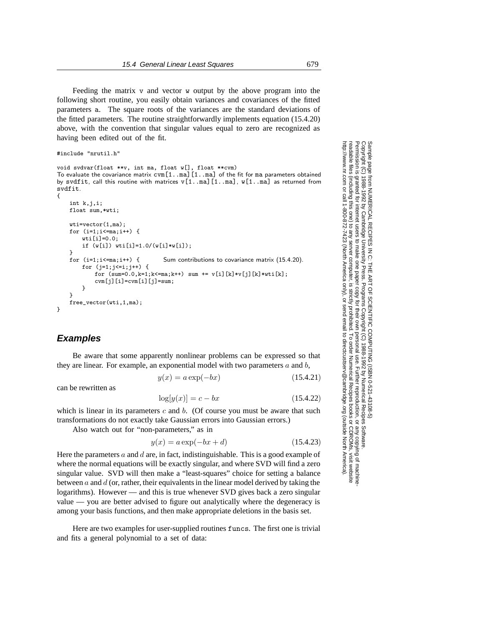Feeding the matrix v and vector w output by the above program into the following short routine, you easily obtain variances and covariances of the fitted parameters a. The square roots of the variances are the standard deviations of the fitted parameters. The routine straightforwardly implements equation (15.4.20) above, with the convention that singular values equal to zero are recognized as having been edited out of the fit.

```
#include "nrutil.h"
```
void svdvar(float \*\*v, int ma, float w[], float \*\*cvm) To evaluate the covariance matrix  $ccm[1..m]$  [1..ma] of the fit for ma parameters obtained by svdfit, call this routine with matrices  $v[1..m]$ [1..ma],  $w[1..m]$  as returned from svdfit. {

```
int k,j,i;
float sum,*wti;
wti=vector(1,ma);
for (i=1;i<=ma;i++) {
    wti[i]=0.0:
    if (w[i]) wti[i]=1.0/(w[i]*w[i]);
}
for (i=1; i \leq m a; i++) { Sum contributions to covariance matrix (15.4.20).
    for (j=1; j<=i; j++) {
       for (sum=0.0, k=1; k<=ma; k++) sum += v[i][k]*v[j][k]*wti[k];cvm[j][i]=cvm[i][j]=sum;
   }
}
free_vector(wti,1,ma);
```
#### **Examples**

}

Be aware that some apparently nonlinear problems can be expressed so that they are linear. For example, an exponential model with two parameters  $a$  and  $b$ ,

 $y(x) = a \exp(-bx)$  (15.4.21)

can be rewritten as

 $\log[y(x)] = c - bx$  (15.4.22)

which is linear in its parameters  $c$  and  $b$ . (Of course you must be aware that such transformations do not exactly take Gaussian errors into Gaussian errors.)

Also watch out for "non-parameters," as in

$$
y(x) = a \exp(-bx + d)
$$
\n(15.4.23)

Here the parameters  $a$  and  $d$  are, in fact, indistinguishable. This is a good example of where the normal equations will be exactly singular, and where SVD will find a zero singular value. SVD will then make a "least-squares" choice for setting a balance between  $a$  and  $d$  (or, rather, their equivalents in the linear model derived by taking the logarithms). However — and this is true whenever SVD gives back a zero singular value — you are better advised to figure out analytically where the degeneracy is among your basis functions, and then make appropriate deletions in the basis set.

Here are two examples for user-supplied routines funcs. The first one is trivial and fits a general polynomial to a set of data: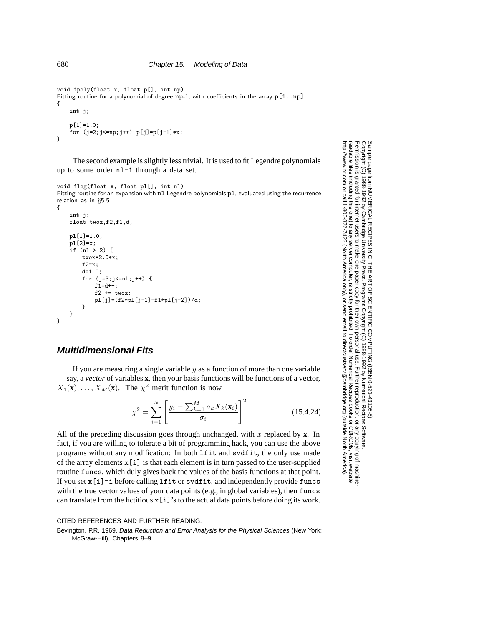```
void fpoly(float x, float p[], int np)
Fitting routine for a polynomial of degree np-1, with coefficients in the array p[1..np].
{
    int j;
    p[1]=1.0;
    for (j=2; j<=np; j++) p[j]=p[j-1]*x;
```

```
}
```
The second example is slightly less trivial. It is used to fit Legendre polynomials up to some order nl-1 through a data set.

```
void fleg(float x, float pl[], int nl)
Fitting routine for an expansion with nl Legendre polynomials pl, evaluated using the recurrence
relation as in §5.5.
```

```
{
    int j;
    float twox,f2,f1,d;
   pl[1]=1.0;
    pl[2]=x;
    if (nl > 2) {
        twox=2.0*x;
        f2=x;d=1.0;
        for (j=3; j<=n1; j++) {
            f1=dt+;
            f2 \leftarrow twox:
            pl[j]=(f2*pl[j-1]-f1*pl[j-2])/d;
        }
    }
}
```
### **Multidimensional Fits**

If you are measuring a single variable  $y$  as a function of more than one variable — say, a *vector* of variables **x**, then your basis functions will be functions of a vector,  $X_1(\mathbf{x}), \ldots, X_M(\mathbf{x})$ . The  $\chi^2$  merit function is now

$$
\chi^2 = \sum_{i=1}^{N} \left[ \frac{y_i - \sum_{k=1}^{M} a_k X_k(\mathbf{x}_i)}{\sigma_i} \right]^2
$$
 (15.4.24)

All of the preceding discussion goes through unchanged, with x replaced by **x**. In fact, if you are willing to tolerate a bit of programming hack, you can use the above programs without any modification: In both lfit and svdfit, the only use made of the array elements  $x[i]$  is that each element is in turn passed to the user-supplied routine funcs, which duly gives back the values of the basis functions at that point. If you set x[i]=i before calling lfit or svdfit, and independently provide funcs with the true vector values of your data points (e.g., in global variables), then funcs can translate from the fictitious x[i]'s to the actual data points before doing its work.

#### CITED REFERENCES AND FURTHER READING:

Bevington, P.R. 1969, Data Reduction and Error Analysis for the Physical Sciences (New York: McGraw-Hill), Chapters 8–9.